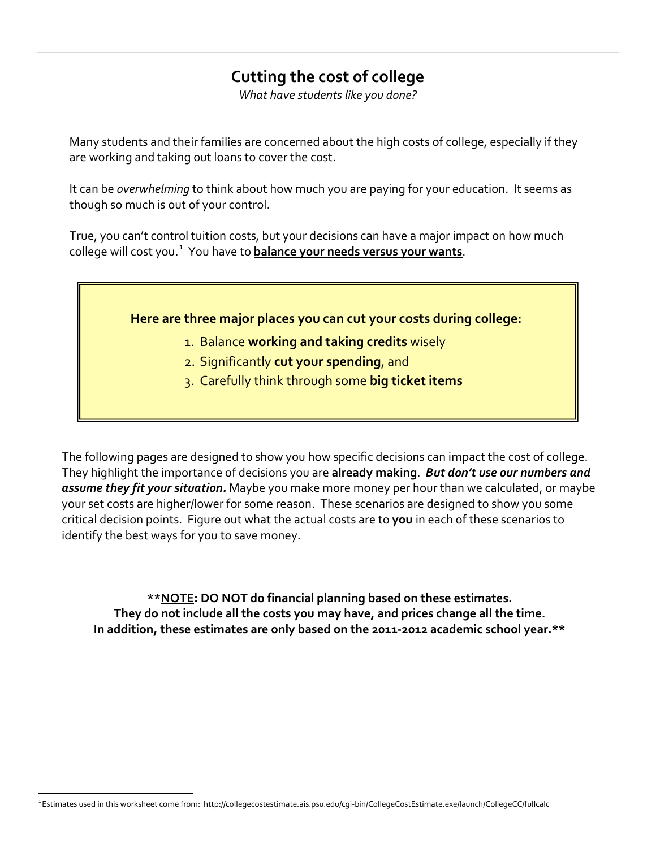# **Cutting the cost of college**

*What have students like you done?*

Many students and their families are concerned about the high costs of college, especially if they are working and taking out loans to cover the cost.

It can be *overwhelming* to think about how much you are paying for your education. It seems as though so much is out of your control.

True, you can't control tuition costs, but your decisions can have a major impact on how much college will cost you. [1](#page-0-0) You have to **balance your needs versus your wants**.

### **Here are three major places you can cut your costs during college:**

- 1. Balance **working and taking credits** wisely
- 2. Significantly **cut your spending**, and
- 3. Carefully think through some **big ticket items**

The following pages are designed to show you how specific decisions can impact the cost of college. They highlight the importance of decisions you are **already making**. *But don't use our numbers and assume they fit your situation.* Maybe you make more money per hour than we calculated, or maybe your set costs are higher/lower for some reason. These scenarios are designed to show you some critical decision points. Figure out what the actual costs are to **you** in each of these scenarios to identify the best ways for you to save money.

**\*\*NOTE: DO NOT do financial planning based on these estimates. They do not include all the costs you may have, and prices change all the time. In addition, these estimates are only based on the 2011-2012 academic school year.\*\***

<span id="page-0-0"></span><sup>1</sup> Estimates used in this worksheet come from: http://collegecostestimate.ais.psu.edu/cgi-bin/CollegeCostEstimate.exe/launch/CollegeCC/fullcalc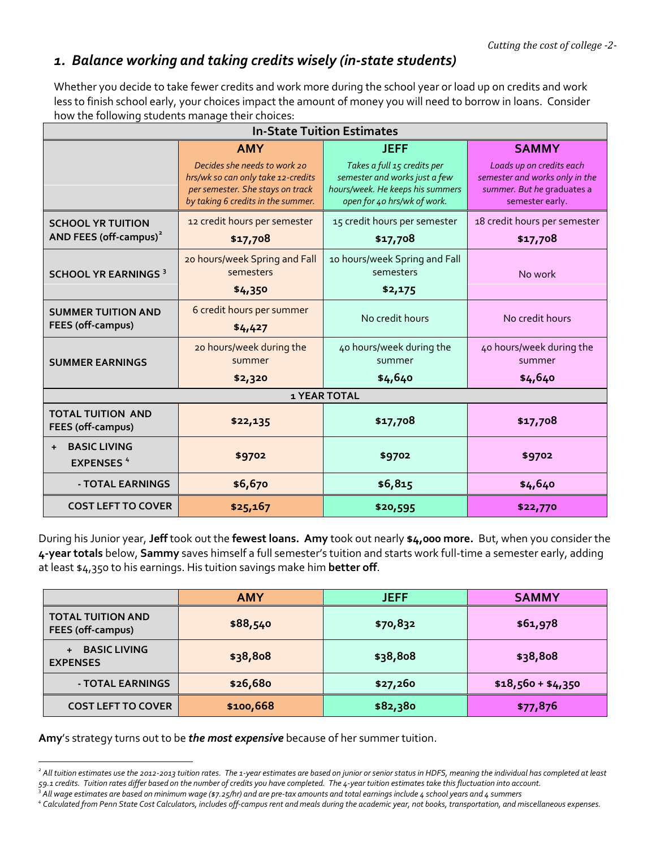### *1. Balance working and taking credits wisely (in-state students)*

Whether you decide to take fewer credits and work more during the school year or load up on credits and work less to finish school early, your choices impact the amount of money you will need to borrow in loans. Consider how the following students manage their choices:

| <b>In-State Tuition Estimates</b>                              |                                                                                                                                                            |                                                                                                                                                |  |                                                                                                                             |
|----------------------------------------------------------------|------------------------------------------------------------------------------------------------------------------------------------------------------------|------------------------------------------------------------------------------------------------------------------------------------------------|--|-----------------------------------------------------------------------------------------------------------------------------|
|                                                                | <b>AMY</b><br>Decides she needs to work 20<br>hrs/wk so can only take 12-credits<br>per semester. She stays on track<br>by taking 6 credits in the summer. | <b>JEFF</b><br>Takes a full 15 credits per<br>semester and works just a few<br>hours/week. He keeps his summers<br>open for 40 hrs/wk of work. |  | <b>SAMMY</b><br>Loads up on credits each<br>semester and works only in the<br>summer. But he graduates a<br>semester early. |
| <b>SCHOOL YR TUITION</b><br>AND FEES (off-campus) <sup>2</sup> | 12 credit hours per semester<br>\$17,708                                                                                                                   | 15 credit hours per semester<br>\$17,708                                                                                                       |  | 18 credit hours per semester<br>\$17,708                                                                                    |
| <b>SCHOOL YR EARNINGS 3</b>                                    | 20 hours/week Spring and Fall<br>semesters<br>\$4,350                                                                                                      | 10 hours/week Spring and Fall<br>semesters<br>\$2,175                                                                                          |  | No work                                                                                                                     |
| <b>SUMMER TUITION AND</b><br>FEES (off-campus)                 | 6 credit hours per summer<br>\$4,427                                                                                                                       | No credit hours                                                                                                                                |  | No credit hours                                                                                                             |
| <b>SUMMER EARNINGS</b>                                         | 20 hours/week during the<br>summer<br>\$2,320                                                                                                              | 40 hours/week during the<br>summer<br>\$4,640                                                                                                  |  | 40 hours/week during the<br>summer<br>\$4,640                                                                               |
| <b>1 YEAR TOTAL</b>                                            |                                                                                                                                                            |                                                                                                                                                |  |                                                                                                                             |
| <b>TOTAL TUITION AND</b><br>FEES (off-campus)                  | \$22,135                                                                                                                                                   | \$17,708                                                                                                                                       |  | \$17,708                                                                                                                    |
| <b>BASIC LIVING</b><br>$+$<br><b>EXPENSES<sup>4</sup></b>      | \$9702                                                                                                                                                     | \$9702                                                                                                                                         |  | \$9702                                                                                                                      |
| - TOTAL EARNINGS                                               | \$6,670                                                                                                                                                    | \$6,815                                                                                                                                        |  | \$4,640                                                                                                                     |
| <b>COST LEFT TO COVER</b>                                      | \$25,167                                                                                                                                                   | \$20,595                                                                                                                                       |  | \$22,770                                                                                                                    |

During his Junior year, **Jeff** took out the **fewest loans. Amy** took out nearly **\$4,000 more.** But, when you consider the **4-year totals** below, **Sammy** saves himself a full semester's tuition and starts work full-time a semester early, adding at least \$4,350 to his earnings. His tuition savings make him **better off**.

|                                                      | <b>AMY</b> | <b>JEFF</b> | <b>SAMMY</b>       |
|------------------------------------------------------|------------|-------------|--------------------|
| <b>TOTAL TUITION AND</b><br><b>FEES (off-campus)</b> | \$88,540   | \$70,832    | \$61,978           |
| <b>BASIC LIVING</b><br>$+$<br><b>EXPENSES</b>        | \$38,808   | \$38,808    | \$38,808           |
| - TOTAL EARNINGS                                     | \$26,680   | \$27,260    | $$18,560 + $4,350$ |
| <b>COST LEFT TO COVER</b>                            | \$100,668  | \$82,380    | \$77,876           |

**Amy**'s strategy turns out to be *the most expensive* because of her summer tuition.

<span id="page-1-0"></span>*<sup>2</sup> All tuition estimates use the 2012-2013 tuition rates. The 1-year estimates are based on junior or senior status in HDFS, meaning the individual has completed at least 59.1 credits. Tuition rates differ based on the number of credits you have completed. The 4-year tuition estimates take thisfluctuation into account.*

<span id="page-1-1"></span><sup>&</sup>lt;sup>3</sup> All wage estimates are based on minimum wage (\$7.25/hr) and are pre-tax amounts and total earnings include 4 school years and 4 summers

<span id="page-1-2"></span>*<sup>4</sup> Calculated from Penn State Cost Calculators, includes off-campus rent and meals during the academic year, not books, transportation, and miscellaneous expenses.*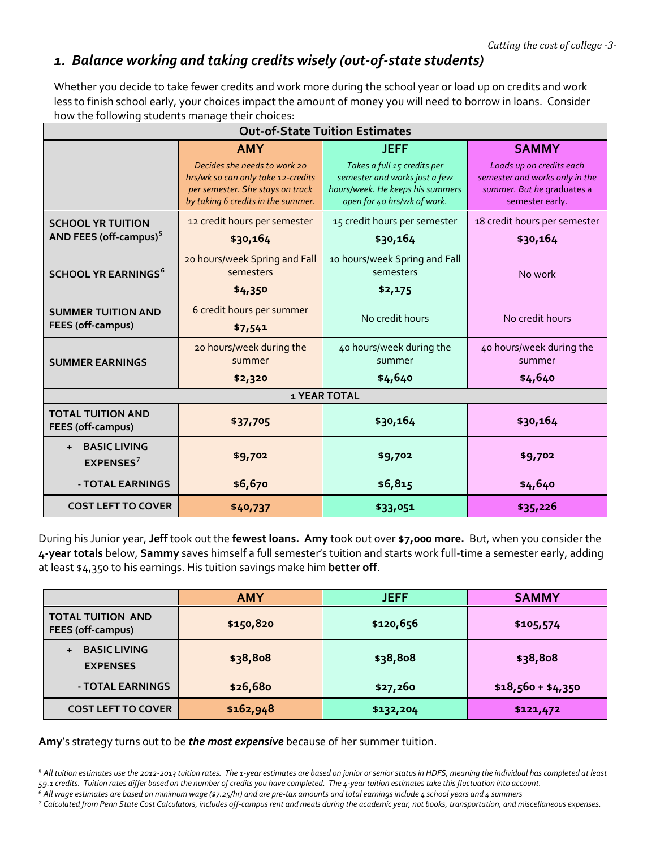### *1. Balance working and taking credits wisely (out-of-state students)*

Whether you decide to take fewer credits and work more during the school year or load up on credits and work less to finish school early, your choices impact the amount of money you will need to borrow in loans. Consider how the following students manage their choices:

| <b>Out-of-State Tuition Estimates</b>                          |                                                                                                                                                            |                                                                                                                                                |  |                                                                                                                             |
|----------------------------------------------------------------|------------------------------------------------------------------------------------------------------------------------------------------------------------|------------------------------------------------------------------------------------------------------------------------------------------------|--|-----------------------------------------------------------------------------------------------------------------------------|
|                                                                | <b>AMY</b><br>Decides she needs to work 20<br>hrs/wk so can only take 12-credits<br>per semester. She stays on track<br>by taking 6 credits in the summer. | <b>JEFF</b><br>Takes a full 15 credits per<br>semester and works just a few<br>hours/week. He keeps his summers<br>open for 40 hrs/wk of work. |  | <b>SAMMY</b><br>Loads up on credits each<br>semester and works only in the<br>summer. But he graduates a<br>semester early. |
| <b>SCHOOL YR TUITION</b><br>AND FEES (off-campus) <sup>5</sup> | 12 credit hours per semester<br>\$30,164                                                                                                                   | 15 credit hours per semester<br>\$30,164                                                                                                       |  | 18 credit hours per semester<br>\$30,164                                                                                    |
| <b>SCHOOL YR EARNINGS<sup>6</sup></b>                          | 20 hours/week Spring and Fall<br>semesters<br>\$4,350                                                                                                      | 10 hours/week Spring and Fall<br>semesters<br>\$2,175                                                                                          |  | No work                                                                                                                     |
| <b>SUMMER TUITION AND</b><br>FEES (off-campus)                 | 6 credit hours per summer<br>\$7,541                                                                                                                       | No credit hours                                                                                                                                |  | No credit hours                                                                                                             |
| <b>SUMMER EARNINGS</b>                                         | 20 hours/week during the<br>summer<br>\$2,320                                                                                                              | 40 hours/week during the<br>summer<br>\$4,640                                                                                                  |  | 40 hours/week during the<br>summer<br>\$4,640                                                                               |
| <b>1 YEAR TOTAL</b>                                            |                                                                                                                                                            |                                                                                                                                                |  |                                                                                                                             |
| <b>TOTAL TUITION AND</b><br><b>FEES (off-campus)</b>           | \$37,705                                                                                                                                                   | \$30,164                                                                                                                                       |  | \$30,164                                                                                                                    |
| <b>BASIC LIVING</b><br>$\ddot{+}$<br>EXPENSES <sup>7</sup>     | \$9,702                                                                                                                                                    | \$9,702                                                                                                                                        |  | \$9,702                                                                                                                     |
| - TOTAL EARNINGS                                               | \$6,670                                                                                                                                                    | \$6,815                                                                                                                                        |  | \$4,640                                                                                                                     |
| <b>COST LEFT TO COVER</b>                                      | \$40,737                                                                                                                                                   | \$33,051                                                                                                                                       |  | \$35,226                                                                                                                    |

During his Junior year, **Jeff** took out the **fewest loans. Amy** took out over **\$7,000 more.** But, when you consider the **4-year totals** below, **Sammy** saves himself a full semester's tuition and starts work full-time a semester early, adding at least \$4,350 to his earnings. His tuition savings make him **better off**.

|                                               | <b>AMY</b> | <b>JEFF</b> | <b>SAMMY</b>       |
|-----------------------------------------------|------------|-------------|--------------------|
| <b>TOTAL TUITION AND</b><br>FEES (off-campus) | \$150,820  | \$120,656   | \$105,574          |
| <b>BASIC LIVING</b><br>$+$<br><b>EXPENSES</b> | \$38,808   | \$38,808    | \$38,808           |
| - TOTAL EARNINGS                              | \$26,680   | \$27,260    | $$18,560 + $4,350$ |
| <b>COST LEFT TO COVER</b>                     | \$162,948  | \$132,204   | \$121,472          |

**Amy**'s strategy turns out to be *the most expensive* because of her summer tuition.

<span id="page-2-0"></span><sup>5</sup> *All tuition estimates use the 2012-2013 tuition rates. The 1-year estimates are based on junior or senior status in HDFS, meaning the individual has completed at least 59.1 credits. Tuition rates differ based on the number of credits you have completed. The 4-year tuition estimates take this fluctuation into account.*

<span id="page-2-1"></span><sup>6</sup> *All wage estimates are based on minimum wage (\$7.25/hr) and are pre-tax amounts and total earnings include 4 school years and 4 summers*

<span id="page-2-2"></span>*<sup>7</sup> Calculated from Penn State Cost Calculators, includes off-campus rent and meals during the academic year, not books, transportation, and miscellaneous expenses.*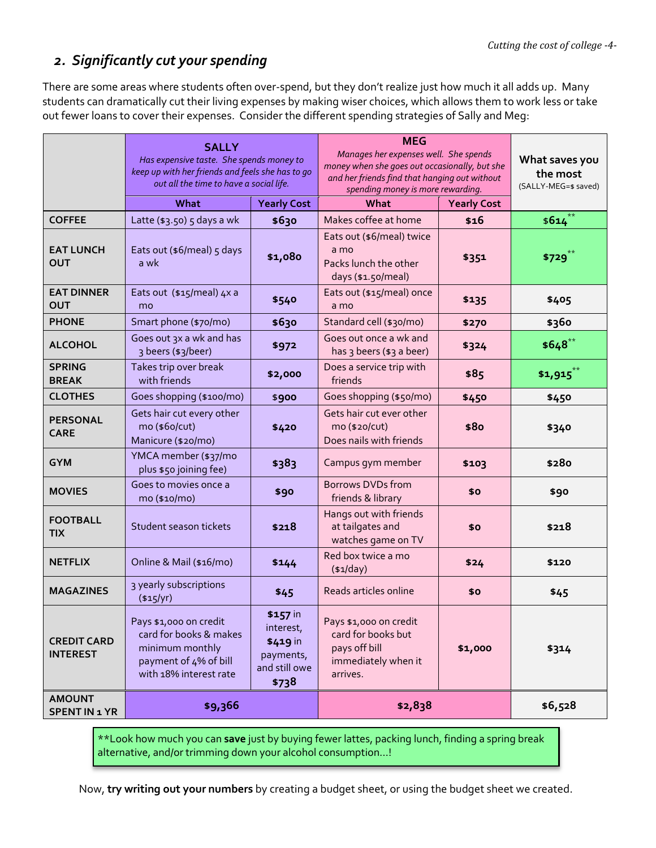## *2. Significantly cut your spending*

There are some areas where students often over-spend, but they don't realize just how much it all adds up. Many students can dramatically cut their living expenses by making wiser choices, which allows them to work less or take out fewer loans to cover their expenses. Consider the different spending strategies of Sally and Meg:

| <b>SALLY</b><br>Has expensive taste. She spends money to<br>keep up with her friends and feels she has to go<br>out all the time to have a social life. |                                                                                                                        | <b>MEG</b><br>Manages her expenses well. She spends<br>money when she goes out occasionally, but she<br>and her friends find that hanging out without<br>spending money is more rewarding. |                                                                                                  | What saves you<br>the most<br>(SALLY-MEG=\$ saved) |             |
|---------------------------------------------------------------------------------------------------------------------------------------------------------|------------------------------------------------------------------------------------------------------------------------|--------------------------------------------------------------------------------------------------------------------------------------------------------------------------------------------|--------------------------------------------------------------------------------------------------|----------------------------------------------------|-------------|
|                                                                                                                                                         | What                                                                                                                   | <b>Yearly Cost</b>                                                                                                                                                                         | What<br><b>Yearly Cost</b>                                                                       |                                                    |             |
| <b>COFFEE</b>                                                                                                                                           | Latte (\$3.50) 5 days a wk                                                                                             | \$630                                                                                                                                                                                      | Makes coffee at home                                                                             | \$16                                               | $$614$ **   |
| <b>EAT LUNCH</b><br><b>OUT</b>                                                                                                                          | Eats out (\$6/meal) 5 days<br>a wk                                                                                     | \$1,080                                                                                                                                                                                    | Eats out (\$6/meal) twice<br>a mo<br>Packs lunch the other<br>days (\$1.50/meal)                 | \$351                                              | \$729       |
| <b>EAT DINNER</b><br><b>OUT</b>                                                                                                                         | Eats out (\$15/meal) 4x a<br>mo                                                                                        | \$540                                                                                                                                                                                      | Eats out (\$15/meal) once<br>a mo                                                                | \$135                                              | \$405       |
| <b>PHONE</b>                                                                                                                                            | Smart phone (\$70/mo)                                                                                                  | \$630                                                                                                                                                                                      | Standard cell (\$30/mo)                                                                          | \$270                                              | \$360       |
| <b>ALCOHOL</b>                                                                                                                                          | Goes out 3x a wk and has<br>3 beers (\$3/beer)                                                                         | \$972                                                                                                                                                                                      | Goes out once a wk and<br>has 3 beers (\$3 a beer)                                               | \$324                                              | $$648$ **   |
| <b>SPRING</b><br><b>BREAK</b>                                                                                                                           | Takes trip over break<br>with friends                                                                                  | \$2,000                                                                                                                                                                                    | Does a service trip with<br>friends                                                              | \$85                                               | $$1,915$ ** |
| <b>CLOTHES</b>                                                                                                                                          | Goes shopping (\$100/mo)                                                                                               | \$900                                                                                                                                                                                      | Goes shopping (\$50/mo)                                                                          | \$450                                              | \$450       |
| <b>PERSONAL</b><br><b>CARE</b>                                                                                                                          | Gets hair cut every other<br>mo (\$60/cut)<br>Manicure (\$20/mo)                                                       | \$420                                                                                                                                                                                      | Gets hair cut ever other<br>mo (\$20/cut)<br>Does nails with friends                             | \$80                                               | \$340       |
| <b>GYM</b>                                                                                                                                              | YMCA member (\$37/mo<br>plus \$50 joining fee)                                                                         | \$383                                                                                                                                                                                      | Campus gym member                                                                                | \$103                                              | \$280       |
| <b>MOVIES</b>                                                                                                                                           | Goes to movies once a<br>mo (\$10/mo)                                                                                  | \$90                                                                                                                                                                                       | Borrows DVDs from<br>friends & library                                                           | \$0                                                | \$90        |
| <b>FOOTBALL</b><br><b>TIX</b>                                                                                                                           | Student season tickets                                                                                                 | \$218                                                                                                                                                                                      | Hangs out with friends<br>at tailgates and<br>watches game on TV                                 | \$0                                                | \$218       |
| <b>NETFLIX</b>                                                                                                                                          | Online & Mail (\$16/mo)                                                                                                | \$144                                                                                                                                                                                      | Red box twice a mo<br>$(*1/day)$                                                                 | \$24                                               | \$120       |
| <b>MAGAZINES</b>                                                                                                                                        | 3 yearly subscriptions<br>(\$15/yr)                                                                                    | \$45                                                                                                                                                                                       | Reads articles online                                                                            | \$0                                                | \$45        |
| <b>CREDIT CARD</b><br><b>INTEREST</b>                                                                                                                   | Pays \$1,000 on credit<br>card for books & makes<br>minimum monthly<br>payment of 4% of bill<br>with 18% interest rate | \$157 in<br>interest,<br>\$419 in<br>payments,<br>and still owe<br>\$738                                                                                                                   | Pays \$1,000 on credit<br>card for books but<br>pays off bill<br>immediately when it<br>arrives. | \$1,000                                            | \$314       |
| <b>AMOUNT</b><br><b>SPENT IN 1 YR</b>                                                                                                                   | \$9,366                                                                                                                |                                                                                                                                                                                            | \$2,838                                                                                          |                                                    | \$6,528     |

\*\*Look how much you can **save** just by buying fewer lattes, packing lunch, finding a spring break alternative, and/or trimming down your alcohol consumption…!

Now, **try writing out your numbers** by creating a budget sheet, or using the budget sheet we created.